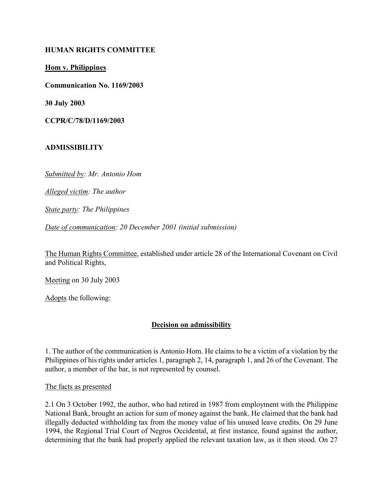### HUMAN RIGHTS COMMITTEE

Hom v. Philippines

Communication No. 1169/2003

30 July 2003

CCPR/C/78/D/1169/2003

#### ADMISSIBILITY

Submitted by: Mr. Antonio Hom

Alleged victim: The author

State party: The Philippines

Date of communication: 20 December 2001 (initial submission)

The Human Rights Committee, established under article 28 of the International Covenant on Civil and Political Rights,

Meeting on 30 July 2003

Adopts the following:

### Decision on admissibility

1. The author of the communication is Antonio Hom. He claims to be a victim of a violation by the Philippines of his rights under articles 1, paragraph 2, 14, paragraph 1, and 26 of the Covenant. The author, a member of the bar, is not represented by counsel.

The facts as presented

2.1 On 3 October 1992, the author, who had retired in 1987 from employment with the Philippine National Bank, brought an action for sum of money against the bank. He claimed that the bank had illegally deducted withholding tax from the money value of his unused leave credits. On 29 June 1994, the Regional Trial Court of Negros Occidental, at first instance, found against the author, determining that the bank had properly applied the relevant taxation law, as it then stood. On 27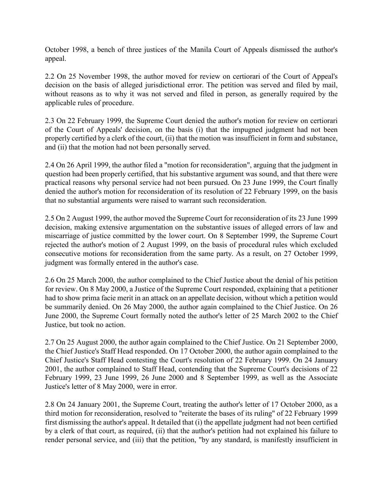October 1998, a bench of three justices of the Manila Court of Appeals dismissed the author's appeal.

2.2 On 25 November 1998, the author moved for review on certiorari of the Court of Appeal's decision on the basis of alleged jurisdictional error. The petition was served and filed by mail, without reasons as to why it was not served and filed in person, as generally required by the applicable rules of procedure.

2.3 On 22 February 1999, the Supreme Court denied the author's motion for review on certiorari of the Court of Appeals' decision, on the basis (i) that the impugned judgment had not been properly certified by a clerk of the court, (ii) that the motion was insufficient in form and substance, and (ii) that the motion had not been personally served.

2.4 On 26 April 1999, the author filed a "motion for reconsideration", arguing that the judgment in question had been properly certified, that his substantive argument was sound, and that there were practical reasons why personal service had not been pursued. On 23 June 1999, the Court finally denied the author's motion for reconsideration of its resolution of 22 February 1999, on the basis that no substantial arguments were raised to warrant such reconsideration.

2.5 On 2 August 1999, the author moved the Supreme Court for reconsideration of its 23 June 1999 decision, making extensive argumentation on the substantive issues of alleged errors of law and miscarriage of justice committed by the lower court. On 8 September 1999, the Supreme Court rejected the author's motion of 2 August 1999, on the basis of procedural rules which excluded consecutive motions for reconsideration from the same party. As a result, on 27 October 1999, judgment was formally entered in the author's case.

2.6 On 25 March 2000, the author complained to the Chief Justice about the denial of his petition for review. On 8 May 2000, a Justice of the Supreme Court responded, explaining that a petitioner had to show prima facie merit in an attack on an appellate decision, without which a petition would be summarily denied. On 26 May 2000, the author again complained to the Chief Justice. On 26 June 2000, the Supreme Court formally noted the author's letter of 25 March 2002 to the Chief Justice, but took no action.

2.7 On 25 August 2000, the author again complained to the Chief Justice. On 21 September 2000, the Chief Justice's Staff Head responded. On 17 October 2000, the author again complained to the Chief Justice's Staff Head contesting the Court's resolution of 22 February 1999. On 24 January 2001, the author complained to Staff Head, contending that the Supreme Court's decisions of 22 February 1999, 23 June 1999, 26 June 2000 and 8 September 1999, as well as the Associate Justice's letter of 8 May 2000, were in error.

2.8 On 24 January 2001, the Supreme Court, treating the author's letter of 17 October 2000, as a third motion for reconsideration, resolved to "reiterate the bases of its ruling" of 22 February 1999 first dismissing the author's appeal. It detailed that (i) the appellate judgment had not been certified by a clerk of that court, as required, (ii) that the author's petition had not explained his failure to render personal service, and (iii) that the petition, "by any standard, is manifestly insufficient in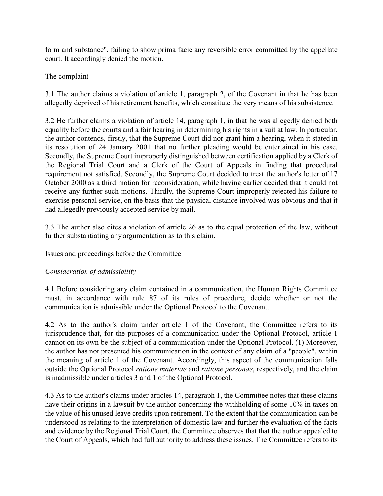form and substance", failing to show prima facie any reversible error committed by the appellate court. It accordingly denied the motion.

## The complaint

3.1 The author claims a violation of article 1, paragraph 2, of the Covenant in that he has been allegedly deprived of his retirement benefits, which constitute the very means of his subsistence.

3.2 He further claims a violation of article 14, paragraph 1, in that he was allegedly denied both equality before the courts and a fair hearing in determining his rights in a suit at law. In particular, the author contends, firstly, that the Supreme Court did nor grant him a hearing, when it stated in its resolution of 24 January 2001 that no further pleading would be entertained in his case. Secondly, the Supreme Court improperly distinguished between certification applied by a Clerk of the Regional Trial Court and a Clerk of the Court of Appeals in finding that procedural requirement not satisfied. Secondly, the Supreme Court decided to treat the author's letter of 17 October 2000 as a third motion for reconsideration, while having earlier decided that it could not receive any further such motions. Thirdly, the Supreme Court improperly rejected his failure to exercise personal service, on the basis that the physical distance involved was obvious and that it had allegedly previously accepted service by mail.

3.3 The author also cites a violation of article 26 as to the equal protection of the law, without further substantiating any argumentation as to this claim.

### Issues and proceedings before the Committee

# Consideration of admissibility

4.1 Before considering any claim contained in a communication, the Human Rights Committee must, in accordance with rule 87 of its rules of procedure, decide whether or not the communication is admissible under the Optional Protocol to the Covenant.

4.2 As to the author's claim under article 1 of the Covenant, the Committee refers to its jurisprudence that, for the purposes of a communication under the Optional Protocol, article 1 cannot on its own be the subject of a communication under the Optional Protocol. (1) Moreover, the author has not presented his communication in the context of any claim of a "people", within the meaning of article 1 of the Covenant. Accordingly, this aspect of the communication falls outside the Optional Protocol ratione materiae and ratione personae, respectively, and the claim is inadmissible under articles 3 and 1 of the Optional Protocol.

4.3 As to the author's claims under articles 14, paragraph 1, the Committee notes that these claims have their origins in a lawsuit by the author concerning the withholding of some 10% in taxes on the value of his unused leave credits upon retirement. To the extent that the communication can be understood as relating to the interpretation of domestic law and further the evaluation of the facts and evidence by the Regional Trial Court, the Committee observes that that the author appealed to the Court of Appeals, which had full authority to address these issues. The Committee refers to its